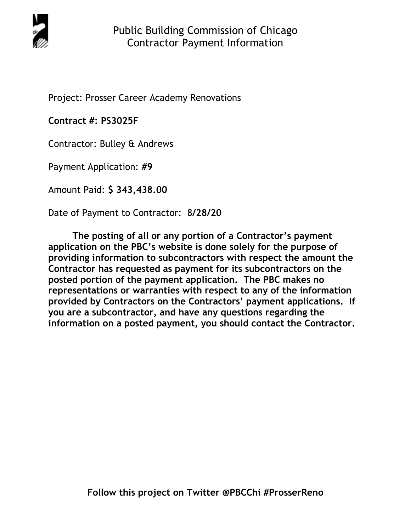

Project: Prosser Career Academy Renovations

**Contract #: PS3025F** 

Contractor: Bulley & Andrews

Payment Application: **#9** 

Amount Paid: **\$ 343,438.00** 

Date of Payment to Contractor: 8**/28/20** 

**The posting of all or any portion of a Contractor's payment application on the PBC's website is done solely for the purpose of providing information to subcontractors with respect the amount the Contractor has requested as payment for its subcontractors on the posted portion of the payment application. The PBC makes no representations or warranties with respect to any of the information provided by Contractors on the Contractors' payment applications. If you are a subcontractor, and have any questions regarding the information on a posted payment, you should contact the Contractor.**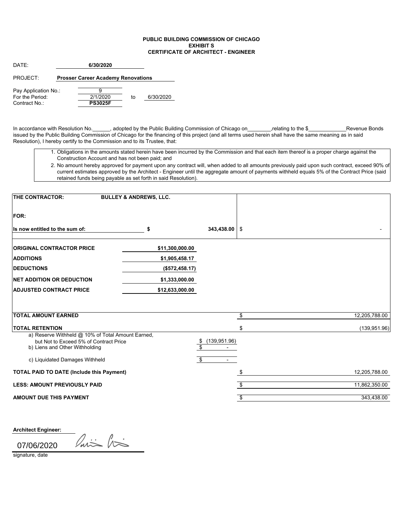## **PUBLIC BUILDING COMMISSION OF CHICAGO EXHIBIT S CERTIFICATE OF ARCHITECT - ENGINEER**

| DATF <sup>.</sup>    | 6/30/2020                                 |                |    |           |  |  |
|----------------------|-------------------------------------------|----------------|----|-----------|--|--|
| PROJECT:             | <b>Prosser Career Academy Renovations</b> |                |    |           |  |  |
| Pay Application No.: |                                           |                |    |           |  |  |
| For the Period:      |                                           | 2/1/2020       | to | 6/30/2020 |  |  |
| Contract No.:        |                                           | <b>PS3025F</b> |    |           |  |  |

In accordance with Resolution No.\_\_\_\_\_, adopted by the Public Building Commission of Chicago on\_\_\_\_\_\_\_\_,relating to the \$\_\_\_\_\_\_\_\_\_\_\_\_\_\_Revenue Bonds issued by the Public Building Commission of Chicago for the financing of this project (and all terms used herein shall have the same meaning as in said Resolution), I hereby certify to the Commission and to its Trustee, that:

- 1. Obligations in the amounts stated herein have been incurred by the Commission and that each item thereof is a proper charge against the Construction Account and has not been paid; and
- 2. No amount hereby approved for payment upon any contract will, when added to all amounts previously paid upon such contract, exceed 90% of current estimates approved by the Architect - Engineer until the aggregate amount of payments withheld equals 5% of the Contract Price (said retained funds being payable as set forth in said Resolution).

| <b>FOR:</b><br>343,438.00<br>Is now entitled to the sum of:<br>\$<br>\$<br><b>ORIGINAL CONTRACTOR PRICE</b><br>\$11,300,000.00<br><b>ADDITIONS</b><br>\$1,905,458.17<br><b>IDEDUCTIONS</b><br>(\$572,458.17)<br><b>NET ADDITION OR DEDUCTION</b><br>\$1,333,000.00<br><b>ADJUSTED CONTRACT PRICE</b><br>\$12,633,000.00<br><b>TOTAL AMOUNT EARNED</b><br>12,205,788.00<br>\$<br><b>TOTAL RETENTION</b><br>\$<br>(139, 951.96)<br>a) Reserve Withheld @ 10% of Total Amount Earned,<br>but Not to Exceed 5% of Contract Price<br>(139, 951.96)<br>\$<br>b) Liens and Other Withholding<br>\$<br>\$<br>c) Liquidated Damages Withheld<br><b>TOTAL PAID TO DATE (Include this Payment)</b><br>12,205,788.00<br><b>LESS: AMOUNT PREVIOUSLY PAID</b><br>11,862,350.00<br>\$<br><b>AMOUNT DUE THIS PAYMENT</b><br>343,438.00<br>\$ | <b>THE CONTRACTOR:</b> | <b>BULLEY &amp; ANDREWS, LLC.</b> |  |
|------------------------------------------------------------------------------------------------------------------------------------------------------------------------------------------------------------------------------------------------------------------------------------------------------------------------------------------------------------------------------------------------------------------------------------------------------------------------------------------------------------------------------------------------------------------------------------------------------------------------------------------------------------------------------------------------------------------------------------------------------------------------------------------------------------------------------|------------------------|-----------------------------------|--|
|                                                                                                                                                                                                                                                                                                                                                                                                                                                                                                                                                                                                                                                                                                                                                                                                                              |                        |                                   |  |
|                                                                                                                                                                                                                                                                                                                                                                                                                                                                                                                                                                                                                                                                                                                                                                                                                              |                        |                                   |  |
|                                                                                                                                                                                                                                                                                                                                                                                                                                                                                                                                                                                                                                                                                                                                                                                                                              |                        |                                   |  |
|                                                                                                                                                                                                                                                                                                                                                                                                                                                                                                                                                                                                                                                                                                                                                                                                                              |                        |                                   |  |
|                                                                                                                                                                                                                                                                                                                                                                                                                                                                                                                                                                                                                                                                                                                                                                                                                              |                        |                                   |  |
|                                                                                                                                                                                                                                                                                                                                                                                                                                                                                                                                                                                                                                                                                                                                                                                                                              |                        |                                   |  |
|                                                                                                                                                                                                                                                                                                                                                                                                                                                                                                                                                                                                                                                                                                                                                                                                                              |                        |                                   |  |
|                                                                                                                                                                                                                                                                                                                                                                                                                                                                                                                                                                                                                                                                                                                                                                                                                              |                        |                                   |  |
|                                                                                                                                                                                                                                                                                                                                                                                                                                                                                                                                                                                                                                                                                                                                                                                                                              |                        |                                   |  |
|                                                                                                                                                                                                                                                                                                                                                                                                                                                                                                                                                                                                                                                                                                                                                                                                                              |                        |                                   |  |
|                                                                                                                                                                                                                                                                                                                                                                                                                                                                                                                                                                                                                                                                                                                                                                                                                              |                        |                                   |  |
|                                                                                                                                                                                                                                                                                                                                                                                                                                                                                                                                                                                                                                                                                                                                                                                                                              |                        |                                   |  |
|                                                                                                                                                                                                                                                                                                                                                                                                                                                                                                                                                                                                                                                                                                                                                                                                                              |                        |                                   |  |
|                                                                                                                                                                                                                                                                                                                                                                                                                                                                                                                                                                                                                                                                                                                                                                                                                              |                        |                                   |  |
|                                                                                                                                                                                                                                                                                                                                                                                                                                                                                                                                                                                                                                                                                                                                                                                                                              |                        |                                   |  |
|                                                                                                                                                                                                                                                                                                                                                                                                                                                                                                                                                                                                                                                                                                                                                                                                                              |                        |                                   |  |
|                                                                                                                                                                                                                                                                                                                                                                                                                                                                                                                                                                                                                                                                                                                                                                                                                              |                        |                                   |  |
|                                                                                                                                                                                                                                                                                                                                                                                                                                                                                                                                                                                                                                                                                                                                                                                                                              |                        |                                   |  |

**Architect Engineer:**

07/06/2020

Paris his

signature, date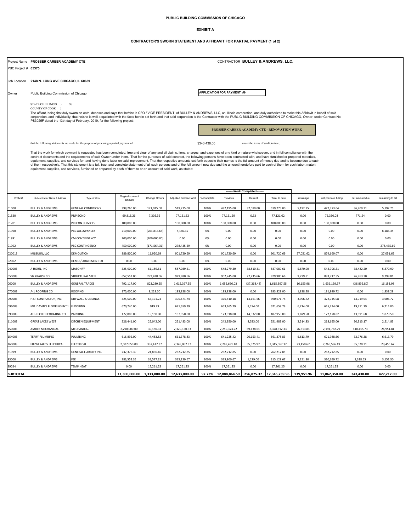### **PUBLIC BUILDING COMMISSION OF CHICAGO**

#### **EXHIBIT A**

#### **CONTRACTOR'S SWORN STATEMENT AND AFFIDAVIT FOR PARTIAL PAYMENT (1 of 2)**

Project Name **PROSSER CAREER ACADEMY CTE** PBC Project # **05375** Job Location **2148 N. LONG AVE CHICAGO, IL 60639** Owner Public Building Commission of Chicago that the following statements are made for the purpose of procuring a partial payment of the contract of under the terms of said Contract;  $$343,438.00$  under the terms of said Contract; ITEM # Subcontractor Name & Address Type of Work Original contract amount Change Orders Adjusted Contract Amt % Complete Previous Current Total to date retainage net previous billing net amount due remaining to bill<br>amount 01000 BULLEY&ANDREWS GENERAL CONDITIONS | 398,260.00 | 121,015.00 | 519,275.00 | 100% | 482,195.00 | 37,080.00 | 519,275.00 | 519,275.00 | 519,275.00 | 519,275.00 | 519,275.00 | 519,373.04 | 36,709.21 | 5,192.75 01520 BULLEY&ANDREWS P&P BOND | 69,816.26 7,305.36 77,121.62 | 100% |77,121.29 | 0.33 | 77,121.62 | 0.00 | 76,350.08 | 771.54 | 0.00 01701 BULLEY&ANDREWS PRECON SERVICES | 100,000.00 | 100,000.00 | 100% | 100,000.00 | 0.00 | 100,000.00 | 0.00 | 0.00 | 0.00 | 0.00 01990 |BULLEY&ANDREWS |PBC ALLOWANCES | 210,000.00 |(201,813.65) | 8,186.35 | 0% | 0.00 | 0.00 | 0.00 | 0.00 | 0.00 | 0.00 | 8,186.35 01991 BULLEY&ANDREWS CM.CONTINGENCY | 200,000.00 |(200,000.00) 0.00 | 0% | 0.00 | 0.00 | 0.00 | 0.00 | 0.00 | 0.00 01992 BULLEY&ANDREWS PBCCONTINGENCY | 450,000.00 (171,564.31) 278,435.69 | 0% | 0.00 | 0.00 | 0.00 | 0.00 | 0.00 | 278,435.69 02001S MILBURN, LLC DEMOLITION 889,800.00 11,920.69 901,720.69 100% 901,720.69 0.00 901,720.69 27,051.62 874,669.07 0.00 27,051.62 02002 BULLEY&ANDREWS DEMO/ABATEMENTOT | 0.00 | 0.00 | 0.00 | 0% | 0.00 | 0.00 | 0.00 | 0.00 | 0.00 | 0.00 04000S |A HORN, INC | MASONRY | 5,870.90 | 51,189.61 | 587,089.61 | 100% | 548,279.30 | 38,810.31 | 587,089.61 | 5,870.90 | 542,796.51 | 38,422.20 | 5,870.90 05000S SG KRAUSS CO STRUCTURAL STEEL | 657,552.00 | 272,428.66 | 929,980.66 | 100% | 902,745.00 | 27,235.66 | 929,980.66 | 9,299.81 | 893,717.55 | 26,963.30 | 9,299.81 06000 BULLEY & ANDREWS GENERAL TRADES 792,117.00 823,280.55 1,615,397.55 100% 1,652,666.03 (37,268.48) 1,615,397.55 16,153.98 1,636,139.37 (36,895.80) 16,153.98 07000S |A-1.ROOFING CO |ROOFING | 175,600.00 | 8,228.00 | 183,828.00 | 100% | 183,828.00 | 0.00 | 183,828.00 | 1,838.28 | 181,989.72 | 0.00 | 1,838.28 09000S |H&P CONTRACTOR, INC |DRYWALL&CEILINGS | 325,500.00 | 65,171.74 | 390,671.74 | 100% | 376,510.18 | 14,161.56 | 390,671.74 | 3,906.72 | 372,745.08 | 14,019.94 | 3,906.72 09600S MR. DAVID'S FLOORING INT'L FLOORING 670,740.00 919.79 671,659.79 100% 663,465.79 8,194.00 671,659.79 6,714.00 645,234.00 19,711.79 6,714.00 09900S |ALL-TECH DECORATING CO |PAINTING | 172,800.00 | 15,150.00 | 187,950.00 | 100% | 173,918.00 | 14,032.00 | 187,950.00 | 1,879.50 | 172,178.82 | 13,891.68 | 1,879.50 11100S GREAT LAKES WEST KITCHEN EQUIPMENT 226,441.00 25,042.00 251,483.00 100% 242,950.00 8,533.00 251,483.00 2,514.83 218,655.00 30,313.17 2,514.83 15000S AMBER MECHANICAL MECHANICAL 2,290,000.00 39,150.33 2,329,150.33 100% 2,259,373.72 69,138.61 2,328,512.33 26,313.81 2,191,782.79 110,415.73 26,951.81 15400S TERRY PLUMBING PLUMBING 616,895.00 44,483.83 661,378.83 100% 641,225.42 20,153.41 661,378.83 6,613.79 621,988.66 32,776.38 6,613.79 16000S FITZGERALDS ELECTRICAL ELECTRICAL 2,007,650.00 337,417.37 2,345,067.37 100% 2,289,491.40 55,575.97 2,345,067.37 23,450.67 2,266,596.49 55,020.21 23,450.67 81999 BULLEY&ANDREWS GENERAL LIABILITY INS. 237,376.39 24,836.46 262,212.85 100% 262,212.85 0.00 262,212.85 0.00 262,212.85 0.00 0.00 83000 BULLEY & ANDREWS FEE 283,552.35 31,577.32 315,129.67 100% 313,900.67 1,229.00 315,129.67 3,151.30 310,659.72 1,318.65 3,151.30 99024 BULLEY&ANDREWS TEMP HEAT | 0.00 | 17,261.25 | 1.7,261.25 | 100% | 17,261.25 | 0.00 | 17,261.25 | 0.00 | 17,261.25 | 0.00 | 0.00 The affiant, being first duly sworn on oath, deposes and says that he/she is CFO / VICE PRESIDENT, of BULLEY & ANDREWS, LLC, an Illinois corporation, and duly authorized to make this Affidavit in behalf of said<br>corporation **PROSSER CAREER ACADEMY CTE - RENOVATION WORK** That the work for which payment is requested has been completed, free and clear of any and all claims, liens, charges, and expenses of any kind or nature whatsoever, and in full compliance with the contract documents and the requirements of said Owner under them. That for the purposes of said contract, the following persons have been contracted with, and have furnished or prepared materials,<br>equipment, supplies, and \$343,438.00 **--------Work Completed--------** COUNTY OF COOK **APPLICATION FOR PAYMENT #9** STATE OF ILLINOIS } SS **CONTRACTOR BULLEY & ANDREWS, LLC.** 

**SUBTOTAL 11,300,000.00 1,333,000.00 12,633,000.00 97.73% 12,088,864.59 256,875.37 12,345,739.96 139,951.96 11,862,350.00 343,438.00 427,212.00**